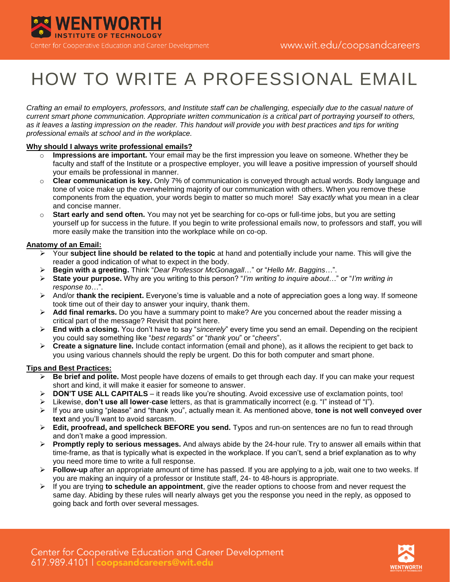

# HOW TO WRITE A PROFESSIONAL EMAIL

*Crafting an email to employers, professors, and Institute staff can be challenging, especially due to the casual nature of current smart phone communication. Appropriate written communication is a critical part of portraying yourself to others, as it leaves a lasting impression on the reader. This handout will provide you with best practices and tips for writing professional emails at school and in the workplace.*

## **Why should I always write professional emails?**

- o **Impressions are important.** Your email may be the first impression you leave on someone. Whether they be faculty and staff of the Institute or a prospective employer, you will leave a positive impression of yourself should your emails be professional in manner.
- o **Clear communication is key.** Only 7% of communication is conveyed through actual words. Body language and tone of voice make up the overwhelming majority of our communication with others. When you remove these components from the equation, your words begin to matter so much more! Say *exactly* what you mean in a clear and concise manner.
- Start early and send often. You may not yet be searching for co-ops or full-time jobs, but you are setting yourself up for success in the future. If you begin to write professional emails now, to professors and staff, you will more easily make the transition into the workplace while on co-op.

# **Anatomy of an Email:**

- Your **subject line should be related to the topic** at hand and potentially include your name. This will give the reader a good indication of what to expect in the body.
- **Begin with a greeting.** Think "*Dear Professor McGonagall*…" or "*Hello Mr. Baggins*…".
- **State your purpose.** Why are you writing to this person? "*I'm writing to inquire about*…" or "*I'm writing in response to*…".
- And/or **thank the recipient.** Everyone's time is valuable and a note of appreciation goes a long way. If someone took time out of their day to answer your inquiry, thank them.
- **Add final remarks.** Do you have a summary point to make? Are you concerned about the reader missing a critical part of the message? Revisit that point here.
- **End with a closing.** You don't have to say "*sincerely*" every time you send an email. Depending on the recipient you could say something like "*best regards*" or "*thank you*" or "*cheers*".
- **Create a signature line.** Include contact information (email and phone), as it allows the recipient to get back to you using various channels should the reply be urgent. Do this for both computer and smart phone.

## **Tips and Best Practices:**

- **Be brief and polite.** Most people have dozens of emails to get through each day. If you can make your request short and kind, it will make it easier for someone to answer.
- **DON'T USE ALL CAPITALS**  it reads like you're shouting. Avoid excessive use of exclamation points, too!
- Likewise, **don't use all lower**-**case** letters, as that is grammatically incorrect (e.g. "I" instead of "I").
- If you are using "please" and "thank you", actually mean it. As mentioned above, **tone is not well conveyed over text** and you'll want to avoid sarcasm.
- **Edit, proofread, and spellcheck BEFORE you send.** Typos and run-on sentences are no fun to read through and don't make a good impression.
- **Promptly reply to serious messages.** And always abide by the 24-hour rule. Try to answer all emails within that time-frame, as that is typically what is expected in the workplace. If you can't, send a brief explanation as to why you need more time to write a full response.
- **Follow-up** after an appropriate amount of time has passed. If you are applying to a job, wait one to two weeks. If you are making an inquiry of a professor or Institute staff, 24- to 48-hours is appropriate.
- $\triangleright$  If you are trying **to schedule an appointment**, give the reader options to choose from and never request the same day. Abiding by these rules will nearly always get you the response you need in the reply, as opposed to going back and forth over several messages.